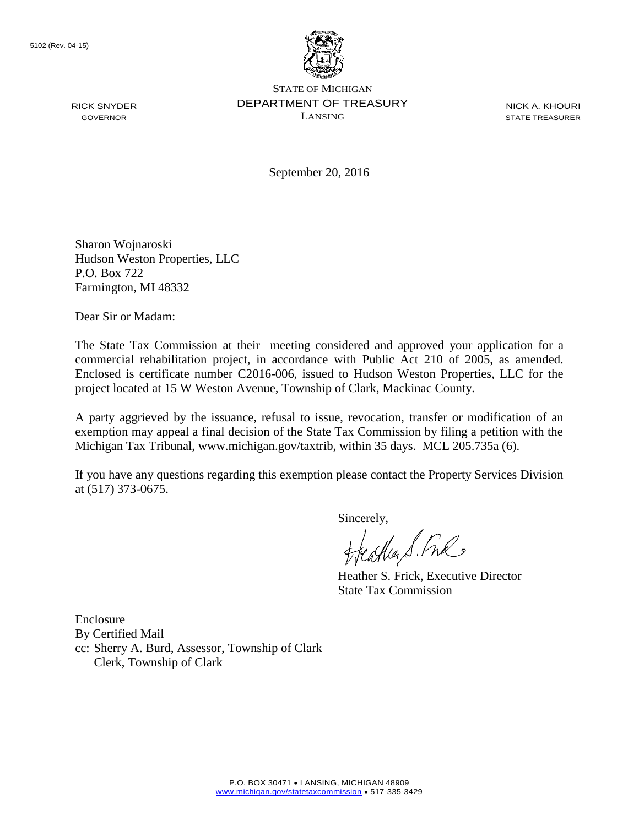RICK SNYDER GOVERNOR



STATE OF MICHIGAN DEPARTMENT OF TREASURY LANSING

NICK A. KHOURI STATE TREASURER

September 20, 2016

Sharon Wojnaroski Hudson Weston Properties, LLC P.O. Box 722 Farmington, MI 48332

Dear Sir or Madam:

The State Tax Commission at their meeting considered and approved your application for a commercial rehabilitation project, in accordance with Public Act 210 of 2005, as amended. Enclosed is certificate number C2016-006, issued to Hudson Weston Properties, LLC for the project located at 15 W Weston Avenue, Township of Clark, Mackinac County.

A party aggrieved by the issuance, refusal to issue, revocation, transfer or modification of an exemption may appeal a final decision of the State Tax Commission by filing a petition with the Michigan Tax Tribunal, www.michigan.gov/taxtrib, within 35 days. MCL 205.735a (6).

If you have any questions regarding this exemption please contact the Property Services Division at (517) 373-0675.

Sincerely,

freastles S. Fre

Heather S. Frick, Executive Director State Tax Commission

Enclosure By Certified Mail cc: Sherry A. Burd, Assessor, Township of Clark Clerk, Township of Clark